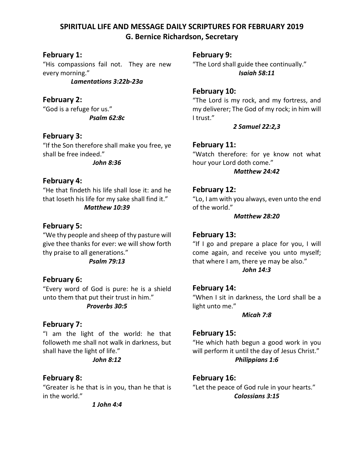# **SPIRITUAL LIFE AND MESSAGE DAILY SCRIPTURES FOR FEBRUARY 2019 G. Bernice Richardson, Secretary**

# **February 1:**

"His compassions fail not. They are new every morning."

*Lamentations 3:22b-23a*

## **February 2:**

"God is a refuge for us." *Psalm 62:8c*

# **February 3:**

"If the Son therefore shall make you free, ye shall be free indeed."

*John 8:36*

### **February 4:**

"He that findeth his life shall lose it: and he that loseth his life for my sake shall find it."

### *Matthew 10:39*

### **February 5:**

"We thy people and sheep of thy pasture will give thee thanks for ever: we will show forth thy praise to all generations."

*Psalm 79:13*

### **February 6:**

"Every word of God is pure: he is a shield unto them that put their trust in him."

### *Proverbs 30:5*

### **February 7:**

"I am the light of the world: he that followeth me shall not walk in darkness, but shall have the light of life."

### *John 8:12*

### **February 8:**

"Greater is he that is in you, than he that is in the world."

*1 John 4:4*

**February 9:**

"The Lord shall guide thee continually." *Isaiah 58:11*

### **February 10:**

"The Lord is my rock, and my fortress, and my deliverer; The God of my rock; in him will I trust."

### *2 Samuel 22:2,3*

### **February 11:**

"Watch therefore: for ye know not what hour your Lord doth come."

*Matthew 24:42*

### **February 12:**

"Lo, I am with you always, even unto the end of the world."

#### *Matthew 28:20*

### **February 13:**

"If I go and prepare a place for you, I will come again, and receive you unto myself; that where I am, there ye may be also."

#### *John 14:3*

### **February 14:**

"When I sit in darkness, the Lord shall be a light unto me."

*Micah 7:8*

### **February 15:**

"He which hath begun a good work in you will perform it until the day of Jesus Christ." *Philippians 1:6*

# **February 16:**

"Let the peace of God rule in your hearts." *Colossians 3:15*